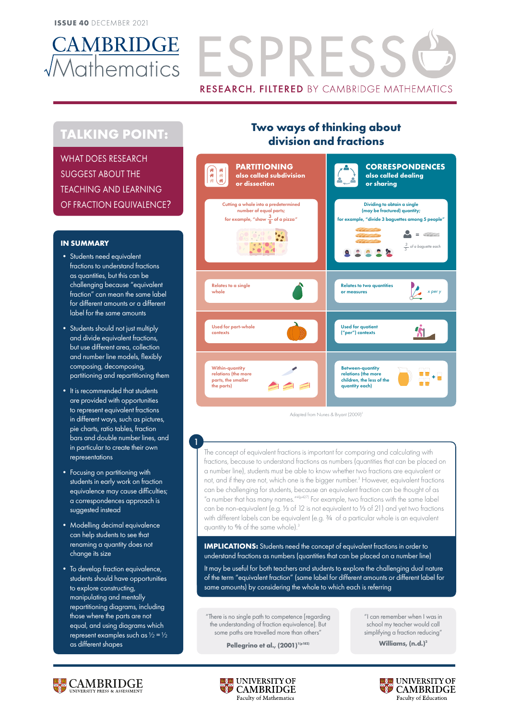

# CAMBRIDGE ESPRESS **RESEARCH, FILTERED BY CAMBRIDGE MATHEMATICS**

# **TALKING POINT:**

WHAT DOES RESEARCH SUGGEST ABOUT THE TEACHING AND LEARNING OF FRACTION EQUIVALENCE?

## **IN SUMMARY**

- Students need equivalent fractions to understand fractions as quantities, but this can be challenging because "equivalent fraction" can mean the same label for different amounts or a different label for the same amounts
- Students should not just multiply and divide equivalent fractions, but use different area, collection and number line models, flexibly composing, decomposing, partitioning and repartitioning them
- It is recommended that students are provided with opportunities to represent equivalent fractions in different ways, such as pictures, pie charts, ratio tables, fraction bars and double number lines, and in particular to create their own representations

1

- Focusing on partitioning with students in early work on fraction equivalence may cause difficulties; a correspondences approach is suggested instead
- Modelling decimal equivalence can help students to see that renaming a quantity does not change its size
- To develop fraction equivalence, students should have opportunities to explore constructing, manipulating and mentally repartitioning diagrams, including those where the parts are not equal, and using diagrams which represent examples such as  $\sqrt{2} = \frac{1}{2}$ as different shapes

# **Two ways of thinking about division and fractions**



Adapted from Nunes & Bryant (2009)<sup>3</sup>

The concept of equivalent fractions is important for comparing and calculating with fractions, because to understand fractions as numbers (quantities that can be placed on a number line), students must be able to know whether two fractions are equivalent or not, and if they are not, which one is the bigger number.<sup>3</sup> However, equivalent fractions can be challenging for students, because an equivalent fraction can be thought of as "a number that has many names."<sup>4(p427)</sup> For example, two fractions with the same label can be non-equivalent (e.g. 1/3 of 12 is not equivalent to 1/3 of 21) and yet two fractions with different labels can be equivalent (e.g. 3/4 of a particular whole is an equivalent quantity to % of the same whole).<sup>3</sup>

**IMPLICATIONS:** Students need the concept of equivalent fractions in order to understand fractions as numbers (quantities that can be placed on a number line) It may be useful for both teachers and students to explore the challenging dual nature of the term "equivalent fraction" (same label for different amounts or different label for same amounts) by considering the whole to which each is referring

"There is no single path to competence [regarding the understanding of fraction equivalence]. But some paths are travelled more than others"

**Pellegrino et al., (2001)**<sup>1(p182)</sup>

"I can remember when I was in school my teacher would call simplifying a fraction reducing"

Williams, (n.d.)<sup>2</sup>